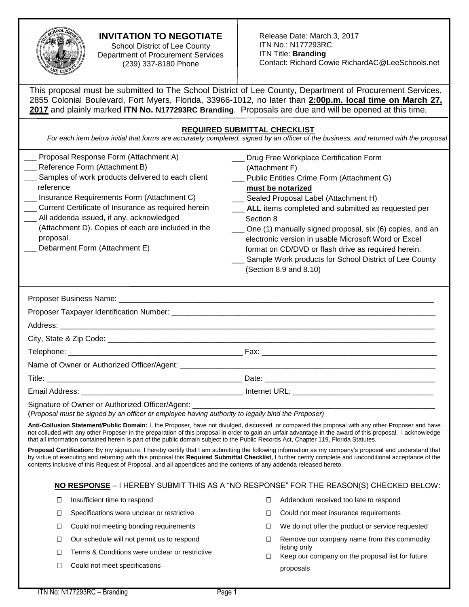

# **INVITATION TO NEGOTIATE**

School District of Lee County Department of Procurement Services (239) 337-8180 Phone

| 2017 and plainly marked ITN No. N177293RC Branding. Proposals are due and will be opened at this time.                                                                                                                                                                                                                                                                                        | This proposal must be submitted to The School District of Lee County, Department of Procurement Services,<br>2855 Colonial Boulevard, Fort Myers, Florida, 33966-1012, no later than 2:00p.m. local time on March 27,                                                                                                                                                                                                                                                                                |
|-----------------------------------------------------------------------------------------------------------------------------------------------------------------------------------------------------------------------------------------------------------------------------------------------------------------------------------------------------------------------------------------------|------------------------------------------------------------------------------------------------------------------------------------------------------------------------------------------------------------------------------------------------------------------------------------------------------------------------------------------------------------------------------------------------------------------------------------------------------------------------------------------------------|
|                                                                                                                                                                                                                                                                                                                                                                                               | <b>REQUIRED SUBMITTAL CHECKLIST</b><br>For each item below initial that forms are accurately completed, signed by an officer of the business, and returned with the proposal.                                                                                                                                                                                                                                                                                                                        |
| Proposal Response Form (Attachment A)<br>Reference Form (Attachment B)<br>Samples of work products delivered to each client<br>reference<br>Insurance Requirements Form (Attachment C)<br>Current Certificate of Insurance as required herein<br>All addenda issued, if any, acknowledged<br>(Attachment D). Copies of each are included in the<br>proposal.<br>Debarment Form (Attachment E) | Drug Free Workplace Certification Form<br>(Attachment F)<br>Public Entities Crime Form (Attachment G)<br>must be notarized<br>Sealed Proposal Label (Attachment H)<br>ALL items completed and submitted as requested per<br>Section 8<br>One (1) manually signed proposal, six (6) copies, and an<br>electronic version in usable Microsoft Word or Excel<br>format on CD/DVD or flash drive as required herein.<br>Sample Work products for School District of Lee County<br>(Section 8.9 and 8.10) |
|                                                                                                                                                                                                                                                                                                                                                                                               |                                                                                                                                                                                                                                                                                                                                                                                                                                                                                                      |
|                                                                                                                                                                                                                                                                                                                                                                                               |                                                                                                                                                                                                                                                                                                                                                                                                                                                                                                      |
|                                                                                                                                                                                                                                                                                                                                                                                               |                                                                                                                                                                                                                                                                                                                                                                                                                                                                                                      |
|                                                                                                                                                                                                                                                                                                                                                                                               |                                                                                                                                                                                                                                                                                                                                                                                                                                                                                                      |
|                                                                                                                                                                                                                                                                                                                                                                                               |                                                                                                                                                                                                                                                                                                                                                                                                                                                                                                      |
| Email Address: No. 2006. [19] Internet URL: No. 2006. [19] Internet URL: No. 2006. [19] Internet URL: No. 2006. [19] Internet URL: No. 2006. [19] Internet URL: No. 2006. [19] Internet URL: No. 2006. [19] Internet URL: No.                                                                                                                                                                 |                                                                                                                                                                                                                                                                                                                                                                                                                                                                                                      |
| Signature of Owner or Authorized Officer/Agent: ______<br>(Proposal must be signed by an officer or employee having authority to legally bind the Proposer)                                                                                                                                                                                                                                   |                                                                                                                                                                                                                                                                                                                                                                                                                                                                                                      |
| that all information contained herein is part of the public domain subject to the Public Records Act, Chapter 119, Florida Statutes.                                                                                                                                                                                                                                                          | Anti-Collusion Statement/Public Domain: I, the Proposer, have not divulged, discussed, or compared this proposal with any other Proposer and have<br>not colluded with any other Proposer in the preparation of this proposal in order to gain an unfair advantage in the award of this proposal. I acknowledge                                                                                                                                                                                      |
| contents inclusive of this Request of Proposal, and all appendices and the contents of any addenda released hereto.                                                                                                                                                                                                                                                                           | Proposal Certification: By my signature, I hereby certify that I am submitting the following information as my company's proposal and understand that<br>by virtue of executing and returning with this proposal this Required Submittal Checklist, I further certify complete and unconditional acceptance of the                                                                                                                                                                                   |
|                                                                                                                                                                                                                                                                                                                                                                                               | NO RESPONSE - I HEREBY SUBMIT THIS AS A "NO RESPONSE" FOR THE REASON(S) CHECKED BELOW:                                                                                                                                                                                                                                                                                                                                                                                                               |

- □ Insufficient time to respond
- □ Specifications were unclear or restrictive
- □ Could not meeting bonding requirements
- □ Our schedule will not permit us to respond
- □ Terms & Conditions were unclear or restrictive
- □ Could not meet specifications
- □ Addendum received too late to respond
- □ Could not meet insurance requirements
- $\Box$  We do not offer the product or service requested
- □ Remove our company name from this commodity listing only
- $\Box$  Keep our company on the proposal list for future proposals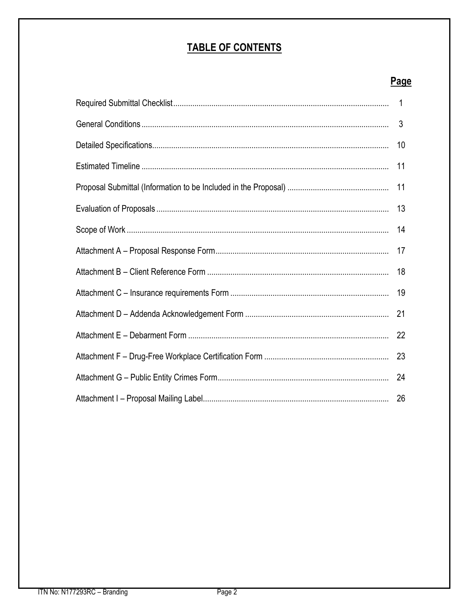# **TABLE OF CONTENTS**

# Page

| 3  |
|----|
| 10 |
| 11 |
|    |
|    |
| 14 |
| 17 |
| 18 |
|    |
| 21 |
|    |
|    |
| 24 |
|    |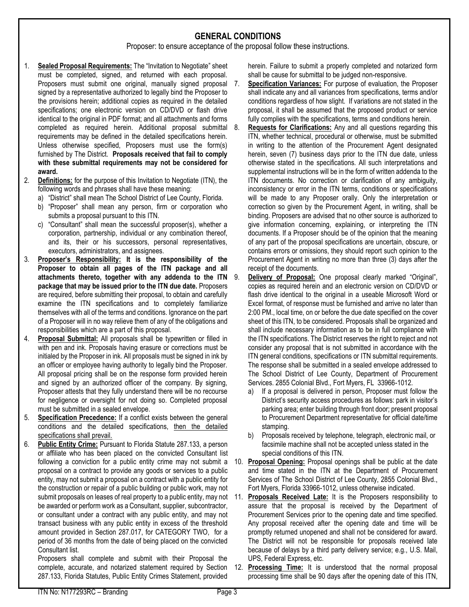## **GENERAL CONDITIONS**

Proposer: to ensure acceptance of the proposal follow these instructions.

- 1. **Sealed Proposal Requirements:** The "Invitation to Negotiate" sheet must be completed, signed, and returned with each proposal. Proposers must submit one original, manually signed proposal 7. signed by a representative authorized to legally bind the Proposer to the provisions herein; additional copies as required in the detailed specifications; one electronic version on CD/DVD or flash drive identical to the original in PDF format; and all attachments and forms completed as required herein. Additional proposal submittal requirements may be defined in the detailed specifications herein. Unless otherwise specified, Proposers must use the form(s) furnished by The District. **Proposals received that fail to comply with these submittal requirements may not be considered for award.**
- 2. **Definitions:** for the purpose of this Invitation to Negotiate (ITN), the following words and phrases shall have these meaning:
	- a) "District" shall mean The School District of Lee County, Florida.
	- b) "Proposer" shall mean any person, firm or corporation who submits a proposal pursuant to this ITN.
	- c) "Consultant" shall mean the successful proposer(s), whether a corporation, partnership, individual or any combination thereof, and its, their or his successors, personal representatives, executors, administrators, and assignees.
- 3. **Proposer's Responsibility: It is the responsibility of the Proposer to obtain all pages of the ITN package and all attachments thereto, together with any addenda to the ITN package that may be issued prior to the ITN due date.** Proposers are required, before submitting their proposal, to obtain and carefully examine the ITN specifications and to completely familiarize themselves with all of the terms and conditions. Ignorance on the part of a Proposer will in no way relieve them of any of the obligations and responsibilities which are a part of this proposal.
- 4. **Proposal Submittal:** All proposals shall be typewritten or filled in with pen and ink. Proposals having erasure or corrections must be initialed by the Proposer in ink. All proposals must be signed in ink by an officer or employee having authority to legally bind the Proposer. All proposal pricing shall be on the response form provided herein and signed by an authorized officer of the company. By signing, Proposer attests that they fully understand there will be no recourse for negligence or oversight for not doing so. Completed proposal must be submitted in a sealed envelope.
- 5. **Specification Precedence:** If a conflict exists between the general conditions and the detailed specifications, then the detailed specifications shall prevail.
- 6. **Public Entity Crime:** Pursuant to Florida Statute 287.133, a person or affiliate who has been placed on the convicted Consultant list proposal on a contract to provide any goods or services to a public entity, may not submit a proposal on a contract with a public entity for the construction or repair of a public building or public work, may not be awarded or perform work as a Consultant, supplier, subcontractor, or consultant under a contract with any public entity, and may not transact business with any public entity in excess of the threshold amount provided in Section 287.017, for CATEGORY TWO, for a period of 36 months from the date of being placed on the convicted Consultant list.

Proposers shall complete and submit with their Proposal the complete, accurate, and notarized statement required by Section 287.133, Florida Statutes, Public Entity Crimes Statement, provided

herein. Failure to submit a properly completed and notarized form shall be cause for submittal to be judged non-responsive.

- Specification Variances: For purpose of evaluation, the Proposer shall indicate any and all variances from specifications, terms and/or conditions regardless of how slight. If variations are not stated in the proposal, it shall be assumed that the proposed product or service fully complies with the specifications, terms and conditions herein.
- 8. **Requests for Clarifications:** Any and all questions regarding this ITN, whether technical, procedural or otherwise, must be submitted in writing to the attention of the Procurement Agent designated herein, seven (7) business days prior to the ITN due date, unless otherwise stated in the specifications. All such interpretations and supplemental instructions will be in the form of written addenda to the ITN documents. No correction or clarification of any ambiguity, inconsistency or error in the ITN terms, conditions or specifications will be made to any Proposer orally. Only the interpretation or correction so given by the Procurement Agent, in writing, shall be binding. Proposers are advised that no other source is authorized to give information concerning, explaining, or interpreting the ITN documents. If a Proposer should be of the opinion that the meaning of any part of the proposal specifications are uncertain, obscure, or contains errors or omissions, they should report such opinion to the Procurement Agent in writing no more than three (3) days after the receipt of the documents.
- Delivery of Proposal: One proposal clearly marked "Original", copies as required herein and an electronic version on CD/DVD or flash drive identical to the original in a useable Microsoft Word or Excel format, of response must be furnished and arrive no later than 2:00 PM., local time, on or before the due date specified on the cover sheet of this ITN, to be considered. Proposals shall be organized and shall include necessary information as to be in full compliance with the ITN specifications. The District reserves the right to reject and not consider any proposal that is not submitted in accordance with the ITN general conditions, specifications or ITN submittal requirements. The response shall be submitted in a sealed envelope addressed to The School District of Lee County, Department of Procurement Services. 2855 Colonial Blvd., Fort Myers, FL 33966-1012.
	- a) If a proposal is delivered in person, Proposer must follow the District's security access procedures as follows: park in visitor's parking area; enter building through front door; present proposal to Procurement Department representative for official date/time stamping.
- b) Proposals received by telephone, telegraph, electronic mail, or facsimile machine shall not be accepted unless stated in the special conditions of this ITN.
- following a conviction for a public entity crime may not submit a 10. **Proposal Opening:** Proposal openings shall be public at the date and time stated in the ITN at the Department of Procurement Services of The School District of Lee County, 2855 Colonial Blvd., Fort Myers, Florida 33966-1012, unless otherwise indicated.
- submit proposals on leases of real property to a public entity, may not 11. **Proposals Received Late:** It is the Proposers responsibility to assure that the proposal is received by the Department of Procurement Services prior to the opening date and time specified. Any proposal received after the opening date and time will be promptly returned unopened and shall not be considered for award. The District will not be responsible for proposals received late because of delays by a third party delivery service; e.g., U.S. Mail, UPS, Federal Express, etc.
	- 12. **Processing Time:** It is understood that the normal proposal processing time shall be 90 days after the opening date of this ITN,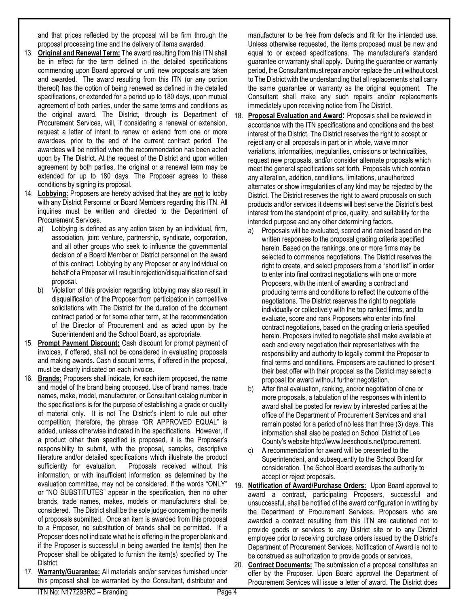and that prices reflected by the proposal will be firm through the proposal processing time and the delivery of items awarded.

- 13. **Original and Renewal Term:** The award resulting from this ITN shall be in effect for the term defined in the detailed specifications commencing upon Board approval or until new proposals are taken and awarded. The award resulting from this ITN (or any portion thereof) has the option of being renewed as defined in the detailed specifications, or extended for a period up to 180 days, upon mutual agreement of both parties, under the same terms and conditions as the original award. The District, through its Department of Procurement Services, will, if considering a renewal or extension, request a letter of intent to renew or extend from one or more awardees, prior to the end of the current contract period. The awardees will be notified when the recommendation has been acted upon by The District. At the request of the District and upon written agreement by both parties, the original or a renewal term may be extended for up to 180 days. The Proposer agrees to these conditions by signing its proposal.
- 14. **Lobbying:** Proposers are hereby advised that they are **not** to lobby with any District Personnel or Board Members regarding this ITN. All inquiries must be written and directed to the Department of Procurement Services.
	- a) Lobbying is defined as any action taken by an individual, firm, association, joint venture, partnership, syndicate, corporation, and all other groups who seek to influence the governmental decision of a Board Member or District personnel on the award of this contract. Lobbying by any Proposer or any individual on behalf of a Proposer will result in rejection/disqualification of said proposal.
	- b) Violation of this provision regarding lobbying may also result in disqualification of the Proposer from participation in competitive solicitations with The District for the duration of the document contract period or for some other term, at the recommendation of the Director of Procurement and as acted upon by the Superintendent and the School Board, as appropriate.
- 15. **Prompt Payment Discount:** Cash discount for prompt payment of invoices, if offered, shall not be considered in evaluating proposals and making awards. Cash discount terms, if offered in the proposal, must be clearly indicated on each invoice.
- 16. **Brands:** Proposers shall indicate, for each item proposed, the name and model of the brand being proposed. Use of brand names, trade names, make, model, manufacturer, or Consultant catalog number in the specifications is for the purpose of establishing a grade or quality of material only. It is not The District's intent to rule out other competition; therefore, the phrase "OR APPROVED EQUAL" is added, unless otherwise indicated in the specifications. However, if a product other than specified is proposed, it is the Proposer's responsibility to submit, with the proposal, samples, descriptive literature and/or detailed specifications which illustrate the product sufficiently for evaluation. Proposals received without this information, or with insufficient information, as determined by the evaluation committee, may not be considered. If the words "ONLY" or "NO SUBSTITUTES" appear in the specification, then no other brands, trade names, makes, models or manufacturers shall be considered. The District shall be the sole judge concerning the merits of proposals submitted. Once an item is awarded from this proposal to a Proposer, no substitution of brands shall be permitted. If a Proposer does not indicate what he is offering in the proper blank and if the Proposer is successful in being awarded the item(s) then the Proposer shall be obligated to furnish the item(s) specified by The District.
- 17. **Warranty/Guarantee:** All materials and/or services furnished under this proposal shall be warranted by the Consultant, distributor and

manufacturer to be free from defects and fit for the intended use. Unless otherwise requested, the items proposed must be new and equal to or exceed specifications. The manufacturer's standard guarantee or warranty shall apply. During the guarantee or warranty period, the Consultant must repair and/or replace the unit without cost to The District with the understanding that all replacements shall carry the same guarantee or warranty as the original equipment. The Consultant shall make any such repairs and/or replacements immediately upon receiving notice from The District.

- 18. **Proposal Evaluation and Award:** Proposals shall be reviewed in accordance with the ITN specifications and conditions and the best interest of the District. The District reserves the right to accept or reject any or all proposals in part or in whole, waive minor variations, informalities, irregularities, omissions or technicalities, request new proposals, and/or consider alternate proposals which meet the general specifications set forth. Proposals which contain any alteration, addition, conditions, limitations, unauthorized alternates or show irregularities of any kind may be rejected by the District. The District reserves the right to award proposals on such products and/or services it deems will best serve the District's best interest from the standpoint of price, quality, and suitability for the intended purpose and any other determining factors.
	- a) Proposals will be evaluated, scored and ranked based on the written responses to the proposal grading criteria specified herein. Based on the rankings, one or more firms may be selected to commence negotiations. The District reserves the right to create, and select proposers from a "short list" in order to enter into final contract negotiations with one or more Proposers, with the intent of awarding a contract and producing terms and conditions to reflect the outcome of the negotiations. The District reserves the right to negotiate individually or collectively with the top ranked firms, and to evaluate, score and rank Proposers who enter into final contract negotiations, based on the grading criteria specified herein. Proposers invited to negotiate shall make available at each and every negotiation their representatives with the responsibility and authority to legally commit the Proposer to final terms and conditions. Proposers are cautioned to present their best offer with their proposal as the District may select a proposal for award without further negotiation.
	- b) After final evaluation, ranking, and/or negotiation of one or more proposals, a tabulation of the responses with intent to award shall be posted for review by interested parties at the office of the Department of Procurement Services and shall remain posted for a period of no less than three (3) days. This information shall also be posted on School District of Lee County's website http://www.leeschools.net/procurement.
	- c) A recommendation for award will be presented to the Superintendent, and subsequently to the School Board for consideration. The School Board exercises the authority to accept or reject proposals.
- 19. **Notification of Award/Purchase Orders:** Upon Board approval to award a contract, participating Proposers, successful and unsuccessful, shall be notified of the award configuration in writing by the Department of Procurement Services. Proposers who are awarded a contract resulting from this ITN are cautioned not to provide goods or services to any District site or to any District employee prior to receiving purchase orders issued by the District's Department of Procurement Services. Notification of Award is not to be construed as authorization to provide goods or services.
- 20. **Contract Documents:** The submission of a proposal constitutes an offer by the Proposer. Upon Board approval the Department of Procurement Services will issue a letter of award. The District does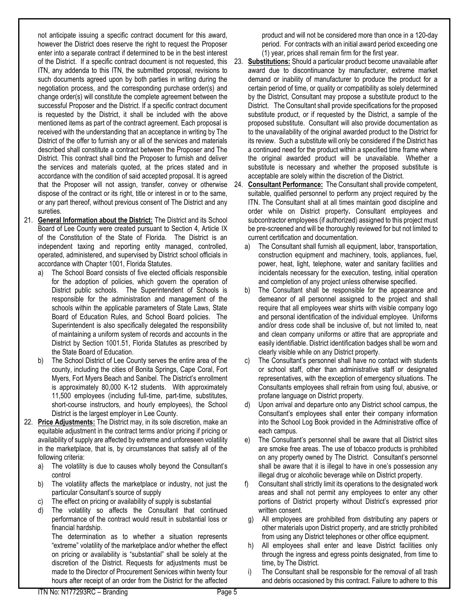not anticipate issuing a specific contract document for this award, however the District does reserve the right to request the Proposer enter into a separate contract if determined to be in the best interest ITN, any addenda to this ITN, the submitted proposal, revisions to such documents agreed upon by both parties in writing during the negotiation process, and the corresponding purchase order(s) and change order(s) will constitute the complete agreement between the successful Proposer and the District. If a specific contract document is requested by the District, it shall be included with the above mentioned items as part of the contract agreement. Each proposal is received with the understanding that an acceptance in writing by The District of the offer to furnish any or all of the services and materials described shall constitute a contract between the Proposer and The District. This contract shall bind the Proposer to furnish and deliver the services and materials quoted, at the prices stated and in accordance with the condition of said accepted proposal. It is agreed that the Proposer will not assign, transfer, convey or otherwise dispose of the contract or its right, title or interest in or to the same, or any part thereof, without previous consent of The District and any sureties.

- 21. **General Information about the District:** The District and its School Board of Lee County were created pursuant to Section 4, Article IX of the Constitution of the State of Florida. The District is an independent taxing and reporting entity managed, controlled, operated, administered, and supervised by District school officials in accordance with Chapter 1001, Florida Statutes.
	- The School Board consists of five elected officials responsible for the adoption of policies, which govern the operation of District public schools. The Superintendent of Schools is responsible for the administration and management of the schools within the applicable parameters of State Laws, State Board of Education Rules, and School Board policies. The Superintendent is also specifically delegated the responsibility of maintaining a uniform system of records and accounts in the District by Section 1001.51, Florida Statutes as prescribed by the State Board of Education.
	- b) The School District of Lee County serves the entire area of the county, including the cities of Bonita Springs, Cape Coral, Fort Myers, Fort Myers Beach and Sanibel. The District's enrollment is approximately 80,000 K-12 students. With approximately 11,500 employees (including full-time, part-time, substitutes, short-course instructors, and hourly employees), the School District is the largest employer in Lee County.
- 22. **Price Adjustments:** The District may, in its sole discretion, make an equitable adjustment in the contract terms and/or pricing if pricing or availability of supply are affected by extreme and unforeseen volatility in the marketplace, that is, by circumstances that satisfy all of the following criteria:
	- a) The volatility is due to causes wholly beyond the Consultant's control
	- b) The volatility affects the marketplace or industry, not just the particular Consultant's source of supply
	- c) The effect on pricing or availability of supply is substantial
	- d) The volatility so affects the Consultant that continued performance of the contract would result in substantial loss or financial hardship.

The determination as to whether a situation represents "extreme" volatility of the marketplace and/or whether the effect on pricing or availability is "substantial" shall be solely at the discretion of the District. Requests for adjustments must be made to the Director of Procurement Services within twenty four hours after receipt of an order from the District for the affected

product and will not be considered more than once in a 120-day period. For contracts with an initial award period exceeding one (1) year, prices shall remain firm for the first year.

of the District. If a specific contract document is not requested, this 23. **Substitutions:** Should a particular product become unavailable after award due to discontinuance by manufacturer, extreme market demand or inability of manufacturer to produce the product for a certain period of time, or quality or compatibility as solely determined by the District, Consultant may propose a substitute product to the District. The Consultant shall provide specifications for the proposed substitute product, or if requested by the District, a sample of the proposed substitute. Consultant will also provide documentation as to the unavailability of the original awarded product to the District for its review. Such a substitute will only be considered if the District has a continued need for the product within a specified time frame where the original awarded product will be unavailable. Whether a substitute is necessary and whether the proposed substitute is acceptable are solely within the discretion of the District.

24. **Consultant Performance:** The Consultant shall provide competent, suitable, qualified personnel to perform any project required by the ITN. The Consultant shall at all times maintain good discipline and order while on District property**.** Consultant employees and subcontractor employees (if authorized) assigned to this project must be pre-screened and will be thoroughly reviewed for but not limited to current certification and documentation.

- a) The Consultant shall furnish all equipment, labor, transportation, construction equipment and machinery, tools, appliances, fuel, power, heat, light, telephone, water and sanitary facilities and incidentals necessary for the execution, testing, initial operation and completion of any project unless otherwise specified.
- b) The Consultant shall be responsible for the appearance and demeanor of all personnel assigned to the project and shall require that all employees wear shirts with visible company logo and personal identification of the individual employee. Uniforms and/or dress code shall be inclusive of, but not limited to, neat and clean company uniforms or attire that are appropriate and easily identifiable. District identification badges shall be worn and clearly visible while on any District property.
- c) The Consultant's personnel shall have no contact with students or school staff, other than administrative staff or designated representatives, with the exception of emergency situations. The Consultants employees shall refrain from using foul, abusive, or profane language on District property.
- d) Upon arrival and departure onto any District school campus, the Consultant's employees shall enter their company information into the School Log Book provided in the Administrative office of each campus.
- e) The Consultant's personnel shall be aware that all District sites are smoke free areas. The use of tobacco products is prohibited on any property owned by The District. Consultant's personnel shall be aware that it is illegal to have in one's possession any illegal drug or alcoholic beverage while on District property.
- f) Consultant shall strictly limit its operations to the designated work areas and shall not permit any employees to enter any other portions of District property without District's expressed prior written consent.
- g) All employees are prohibited from distributing any papers or other materials upon District property, and are strictly prohibited from using any District telephones or other office equipment.
- h) All employees shall enter and leave District facilities only through the ingress and egress points designated, from time to time, by The District.
- i) The Consultant shall be responsible for the removal of all trash and debris occasioned by this contract. Failure to adhere to this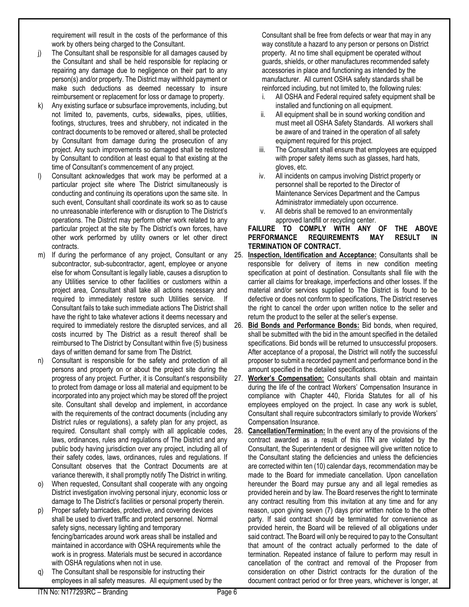requirement will result in the costs of the performance of this work by others being charged to the Consultant.

- j) The Consultant shall be responsible for all damages caused by the Consultant and shall be held responsible for replacing or repairing any damage due to negligence on their part to any person(s) and/or property. The District may withhold payment or make such deductions as deemed necessary to insure reimbursement or replacement for loss or damage to property.
- k) Any existing surface or subsurface improvements, including, but not limited to, pavements, curbs, sidewalks, pipes, utilities, footings, structures, trees and shrubbery, not indicated in the contract documents to be removed or altered, shall be protected by Consultant from damage during the prosecution of any project. Any such improvements so damaged shall be restored by Consultant to condition at least equal to that existing at the time of Consultant's commencement of any project.
- Consultant acknowledges that work may be performed at a particular project site where The District simultaneously is conducting and continuing its operations upon the same site. In such event, Consultant shall coordinate its work so as to cause no unreasonable interference with or disruption to The District's operations. The District may perform other work related to any particular project at the site by The District's own forces, have other work performed by utility owners or let other direct contracts.
- m) If during the performance of any project, Consultant or any subcontractor, sub-subcontractor, agent, employee or anyone else for whom Consultant is legally liable, causes a disruption to any Utilities service to other facilities or customers within a project area, Consultant shall take all actions necessary and required to immediately restore such Utilities service. If Consultant fails to take such immediate actions The District shall have the right to take whatever actions it deems necessary and required to immediately restore the disrupted services, and all costs incurred by The District as a result thereof shall be reimbursed to The District by Consultant within five (5) business days of written demand for same from The District.
- n) Consultant is responsible for the safety and protection of all persons and property on or about the project site during the progress of any project. Further, it is Consultant's responsibility to protect from damage or loss all material and equipment to be incorporated into any project which may be stored off the project site. Consultant shall develop and implement, in accordance with the requirements of the contract documents (including any District rules or regulations), a safety plan for any project, as required. Consultant shall comply with all applicable codes, laws, ordinances, rules and regulations of The District and any public body having jurisdiction over any project, including all of their safety codes, laws, ordinances, rules and regulations. If Consultant observes that the Contract Documents are at variance therewith, it shall promptly notify The District in writing.
- o) When requested, Consultant shall cooperate with any ongoing District investigation involving personal injury, economic loss or damage to The District's facilities or personal property therein.
- p) Proper safety barricades, protective, and covering devices shall be used to divert traffic and protect personnel. Normal safety signs, necessary lighting and temporary fencing/barricades around work areas shall be installed and maintained in accordance with OSHA requirements while the work is in progress. Materials must be secured in accordance with OSHA regulations when not in use.
- The Consultant shall be responsible for instructing their employees in all safety measures. All equipment used by the

Consultant shall be free from defects or wear that may in any way constitute a hazard to any person or persons on District property. At no time shall equipment be operated without guards, shields, or other manufactures recommended safety accessories in place and functioning as intended by the manufacturer. All current OSHA safety standards shall be reinforced including, but not limited to, the following rules:

- i. All OSHA and Federal required safety equipment shall be installed and functioning on all equipment.
- ii. All equipment shall be in sound working condition and must meet all OSHA Safety Standards. All workers shall be aware of and trained in the operation of all safety equipment required for this project.
- iii. The Consultant shall ensure that employees are equipped with proper safety items such as glasses, hard hats, gloves, etc.
- iv. All incidents on campus involving District property or personnel shall be reported to the Director of Maintenance Services Department and the Campus Administrator immediately upon occurrence.
- v. All debris shall be removed to an environmentally approved landfill or recycling center.

#### **FAILURE TO COMPLY WITH ANY OF THE ABOVE**  PERFORMANCE REQUIREMENTS MAY RESULT **TERMINATION OF CONTRACT.**

- 25. **Inspection, Identification and Acceptance:** Consultants shall be responsible for delivery of items in new condition meeting specification at point of destination. Consultants shall file with the carrier all claims for breakage, imperfections and other losses. If the material and/or services supplied to The District is found to be defective or does not conform to specifications, The District reserves the right to cancel the order upon written notice to the seller and return the product to the seller at the seller's expense.
- 26. **Bid Bonds and Performance Bonds:** Bid bonds, when required, shall be submitted with the bid in the amount specified in the detailed specifications. Bid bonds will be returned to unsuccessful proposers. After acceptance of a proposal, the District will notify the successful proposer to submit a recorded payment and performance bond in the amount specified in the detailed specifications.
- 27. **Worker's Compensation:** Consultants shall obtain and maintain during the life of the contract Workers' Compensation Insurance in compliance with Chapter 440, Florida Statutes for all of his employees employed on the project. In case any work is sublet, Consultant shall require subcontractors similarly to provide Workers' Compensation Insurance.
- 28. **Cancellation/Termination:** In the event any of the provisions of the contract awarded as a result of this ITN are violated by the Consultant, the Superintendent or designee will give written notice to the Consultant stating the deficiencies and unless the deficiencies are corrected within ten (10) calendar days, recommendation may be made to the Board for immediate cancellation. Upon cancellation hereunder the Board may pursue any and all legal remedies as provided herein and by law. The Board reserves the right to terminate any contract resulting from this invitation at any time and for any reason, upon giving seven (7) days prior written notice to the other party. If said contract should be terminated for convenience as provided herein, the Board will be relieved of all obligations under said contract. The Board will only be required to pay to the Consultant that amount of the contract actually performed to the date of termination. Repeated instance of failure to perform may result in cancellation of the contract and removal of the Proposer from consideration on other District contracts for the duration of the document contract period or for three years, whichever is longer, at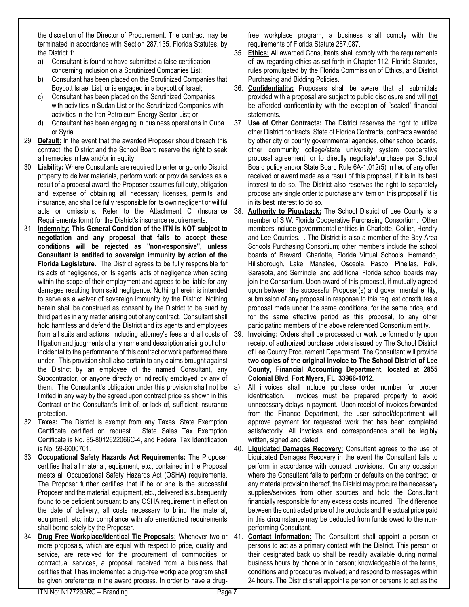the discretion of the Director of Procurement. The contract may be terminated in accordance with Section 287.135, Florida Statutes, by the District if:

- a) Consultant is found to have submitted a false certification concerning inclusion on a Scrutinized Companies List;
- b) Consultant has been placed on the Scrutinized Companies that Boycott Israel List, or is engaged in a boycott of Israel;
- c) Consultant has been placed on the Scrutinized Companies with activities in Sudan List or the Scrutinized Companies with activities in the Iran Petroleum Energy Sector List; or
- d) Consultant has been engaging in business operations in Cuba or Syria.
- 29. **Default:** In the event that the awarded Proposer should breach this contract, the District and the School Board reserve the right to seek all remedies in law and/or in equity.
- 30. **Liability:** Where Consultants are required to enter or go onto District property to deliver materials, perform work or provide services as a result of a proposal award, the Proposer assumes full duty, obligation and expense of obtaining all necessary licenses, permits and insurance, and shall be fully responsible for its own negligent or willful acts or omissions. Refer to the Attachment C (Insurance Requirements form) for the District's insurance requirements.
- 31. **Indemnity: This General Condition of the ITN is NOT subject to negotiation and any proposal that fails to accept these conditions will be rejected as "non-responsive", unless Consultant is entitled to sovereign immunity by action of the Florida Legislature.** The District agrees to be fully responsible for its acts of negligence, or its agents' acts of negligence when acting within the scope of their employment and agrees to be liable for any damages resulting from said negligence. Nothing herein is intended to serve as a waiver of sovereign immunity by the District. Nothing herein shall be construed as consent by the District to be sued by third parties in any matter arising out of any contract. Consultant shall hold harmless and defend the District and its agents and employees from all suits and actions, including attorney's fees and all costs of litigation and judgments of any name and description arising out of or incidental to the performance of this contract or work performed there under. This provision shall also pertain to any claims brought against the District by an employee of the named Consultant, any Subcontractor, or anyone directly or indirectly employed by any of them. The Consultant's obligation under this provision shall not be limited in any way by the agreed upon contract price as shown in this Contract or the Consultant's limit of, or lack of, sufficient insurance protection.
- 32. **Taxes:** The District is exempt from any Taxes. State Exemption Certificate certified on request. State Sales Tax Exemption Certificate is No. 85-8012622066C-4, and Federal Tax Identification is No. 59-6000701.
- 33. **Occupational Safety Hazards Act Requirements:** The Proposer certifies that all material, equipment, etc., contained in the Proposal meets all Occupational Safety Hazards Act (OSHA) requirements. The Proposer further certifies that if he or she is the successful Proposer and the material, equipment, etc., delivered is subsequently found to be deficient pursuant to any OSHA requirement in effect on the date of delivery, all costs necessary to bring the material, equipment, etc. into compliance with aforementioned requirements shall borne solely by the Proposer.
- 34. **Drug Free Workplace/Identical Tie Proposals:** Whenever two or more proposals, which are equal with respect to price, quality and service, are received for the procurement of commodities or contractual services, a proposal received from a business that certifies that it has implemented a drug-free workplace program shall be given preference in the award process. In order to have a drug-

free workplace program, a business shall comply with the requirements of Florida Statute 287.087.

- 35. **Ethics:** All awarded Consultants shall comply with the requirements of law regarding ethics as set forth in Chapter 112, Florida Statutes, rules promulgated by the Florida Commission of Ethics, and District Purchasing and Bidding Policies.
- 36. **Confidentiality:** Proposers shall be aware that all submittals provided with a proposal are subject to public disclosure and will **not** be afforded confidentiality with the exception of "sealed" financial statements.
- 37. **Use of Other Contracts:** The District reserves the right to utilize other District contracts, State of Florida Contracts, contracts awarded by other city or county governmental agencies, other school boards, other community college/state university system cooperative proposal agreement, or to directly negotiate/purchase per School Board policy and/or State Board Rule 6A-1.012(5) in lieu of any offer received or award made as a result of this proposal, if it is in its best interest to do so. The District also reserves the right to separately propose any single order to purchase any item on this proposal if it is in its best interest to do so.
- 38. **Authority to Piggyback:** The School District of Lee County is a member of S.W. Florida Cooperative Purchasing Consortium. Other members include governmental entities in Charlotte, Collier, Hendry and Lee Counties. . The District is also a member of the Bay Area Schools Purchasing Consortium; other members include the school boards of Brevard, Charlotte, Florida Virtual Schools, Hernando, Hillsborough, Lake, Manatee, Osceola, Pasco, Pinellas, Polk, Sarasota, and Seminole; and additional Florida school boards may join the Consortium. Upon award of this proposal, if mutually agreed upon between the successful Proposer(s) and governmental entity, submission of any proposal in response to this request constitutes a proposal made under the same conditions, for the same price, and for the same effective period as this proposal, to any other participating members of the above referenced Consortium entity.
- **Invoicing:** Orders shall be processed or work performed only upon receipt of authorized purchase orders issued by The School District of Lee County Procurement Department. The Consultant will provide **two copies of the original invoice to The School District of Lee County, Financial Accounting Department, located at 2855 Colonial Blvd, Fort Myers, FL 33966-1012.**
- a) All invoices shall include purchase order number for proper identification. Invoices must be prepared properly to avoid unnecessary delays in payment. Upon receipt of invoices forwarded from the Finance Department, the user school/department will approve payment for requested work that has been completed satisfactorily. All invoices and correspondence shall be legibly written, signed and dated.
- 40. **Liquidated Damages Recovery:** Consultant agrees to the use of Liquidated Damages Recovery in the event the Consultant fails to perform in accordance with contract provisions. On any occasion where the Consultant fails to perform or defaults on the contract, or any material provision thereof, the District may procure the necessary supplies/services from other sources and hold the Consultant financially responsible for any excess costs incurred. The difference between the contracted price of the products and the actual price paid in this circumstance may be deducted from funds owed to the nonperforming Consultant.
- 41. **Contact Information:** The Consultant shall appoint a person or persons to act as a primary contact with the District. This person or their designated back up shall be readily available during normal business hours by phone or in person; knowledgeable of the terms, conditions and procedures involved; and respond to messages within 24 hours. The District shall appoint a person or persons to act as the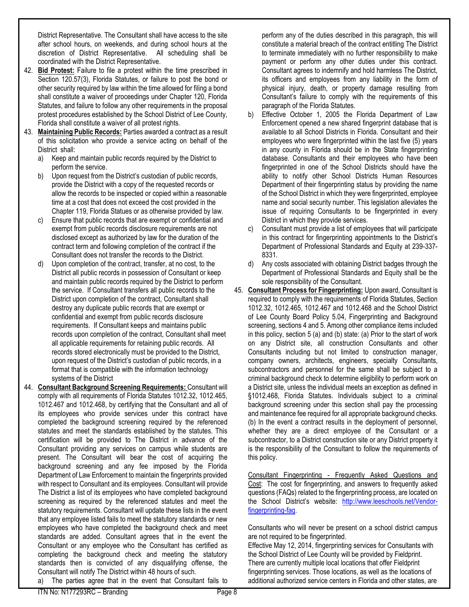District Representative. The Consultant shall have access to the site after school hours, on weekends, and during school hours at the discretion of District Representative. All scheduling shall be coordinated with the District Representative.

- 42. **Bid Protest:** Failure to file a protest within the time prescribed in Section [120.57\(](http://www.flsenate.gov/Laws/Statutes/2010/120.57)3), Florida Statutes, or failure to post the bond or other security required by law within the time allowed for filing a bond shall constitute a waiver of proceedings under Chapter 120, Florida Statutes, and failure to follow any other requirements in the proposal protest procedures established by the School District of Lee County, Florida shall constitute a waiver of all protest rights.
- 43. **Maintaining Public Records:** Parties awarded a contract as a result of this solicitation who provide a service acting on behalf of the District shall:
	- a) Keep and maintain public records required by the District to perform the service.
	- b) Upon request from the District's custodian of public records, provide the District with a copy of the requested records or allow the records to be inspected or copied within a reasonable time at a cost that does not exceed the cost provided in the Chapter 119, Florida Statues or as otherwise provided by law.
	- c) Ensure that public records that are exempt or confidential and exempt from public records disclosure requirements are not disclosed except as authorized by law for the duration of the contract term and following completion of the contract if the Consultant does not transfer the records to the District.
	- d) Upon completion of the contract, transfer, at no cost, to the District all public records in possession of Consultant or keep and maintain public records required by the District to perform the service. If Consultant transfers all public records to the District upon completion of the contract, Consultant shall destroy any duplicate public records that are exempt or confidential and exempt from public records disclosure requirements. If Consultant keeps and maintains public records upon completion of the contract, Consultant shall meet all applicable requirements for retaining public records. All records stored electronically must be provided to the District, upon request of the District's custodian of public records, in a format that is compatible with the information technology systems of the District
- 44. **Consultant Background Screening Requirements:** Consultant will comply with all requirements of Florida Statutes 1012.32, 1012.465, 1012.467 and 1012.468, by certifying that the Consultant and all of its employees who provide services under this contract have completed the background screening required by the referenced statutes and meet the standards established by the statutes. This certification will be provided to The District in advance of the Consultant providing any services on campus while students are present. The Consultant will bear the cost of acquiring the background screening and any fee imposed by the Florida Department of Law Enforcement to maintain the fingerprints provided with respect to Consultant and its employees. Consultant will provide The District a list of its employees who have completed background screening as required by the referenced statutes and meet the statutory requirements. Consultant will update these lists in the event that any employee listed fails to meet the statutory standards or new employees who have completed the background check and meet standards are added. Consultant agrees that in the event the Consultant or any employee who the Consultant has certified as completing the background check and meeting the statutory standards then is convicted of any disqualifying offense, the Consultant will notify The District within 48 hours of such.

a) The parties agree that in the event that Consultant fails to

- b) Effective October 1, 2005 the Florida Department of Law Enforcement opened a new shared fingerprint database that is available to all School Districts in Florida. Consultant and their employees who were fingerprinted within the last five (5) years in any county in Florida should be in the State fingerprinting database. Consultants and their employees who have been fingerprinted in one of the School Districts should have the ability to notify other School Districts Human Resources Department of their fingerprinting status by providing the name of the School District in which they were fingerprinted, employee name and social security number. This legislation alleviates the issue of requiring Consultants to be fingerprinted in every District in which they provide services.
- c) Consultant must provide a list of employees that will participate in this contract for fingerprinting appointments to the District's Department of Professional Standards and Equity at 239-337- 8331.
- d) Any costs associated with obtaining District badges through the Department of Professional Standards and Equity shall be the sole responsibility of the Consultant.
- 45. **Consultant Process for Fingerprinting:** Upon award, Consultant is required to comply with the requirements of Florida Statutes, Section 1012.32, 1012.465, 1012.467 and 1012.468 and the School District of Lee County Board Policy 5.04, Fingerprinting and Background screening, sections 4 and 5. Among other compliance items included in this policy, section 5 (a) and (b) state: (a) Prior to the start of work on any District site, all construction Consultants and other Consultants including but not limited to construction manager, company owners, architects, engineers, specialty Consultants, subcontractors and personnel for the same shall be subject to a criminal background check to determine eligibility to perform work on a District site, unless the individual meets an exception as defined in §1012.468, Florida Statutes. Individuals subject to a criminal background screening under this section shall pay the processing and maintenance fee required for all appropriate background checks. (b) In the event a contract results in the deployment of personnel, whether they are a direct employee of the Consultant or a subcontractor, to a District construction site or any District property it is the responsibility of the Consultant to follow the requirements of this policy.

Consultant Fingerprinting - Frequently Asked Questions and Cost: The cost for fingerprinting, and answers to frequently asked questions (FAQs) related to the fingerprinting process, are located on the School District's website: [http://www.leeschools.net/Vendor](http://www.leeschools.net/Vendor-fingerprinting-faq)[fingerprinting-faq.](http://www.leeschools.net/Vendor-fingerprinting-faq) 

Consultants who will never be present on a school district campus are not required to be fingerprinted.

Effective May 12, 2014, fingerprinting services for Consultants with the School District of Lee County will be provided by Fieldprint. There are currently multiple local locations that offer Fieldprint fingerprinting services. Those locations, as well as the locations of additional authorized service centers in Florida and other states, are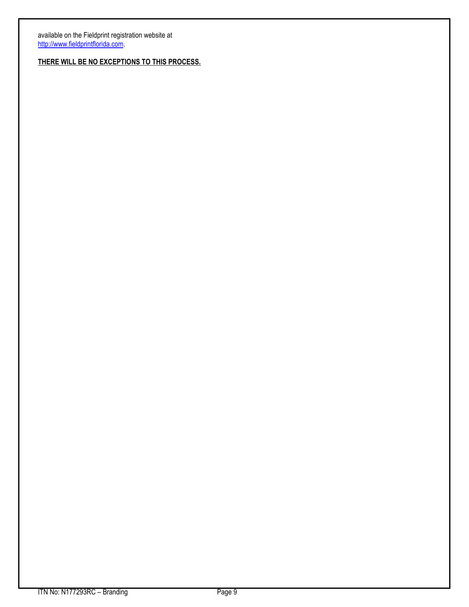available on the Fieldprint registration website at [http://www.fieldprintflorida.com.](http://www.fieldprintflorida.com/)

**THERE WILL BE NO EXCEPTIONS TO THIS PROCESS.**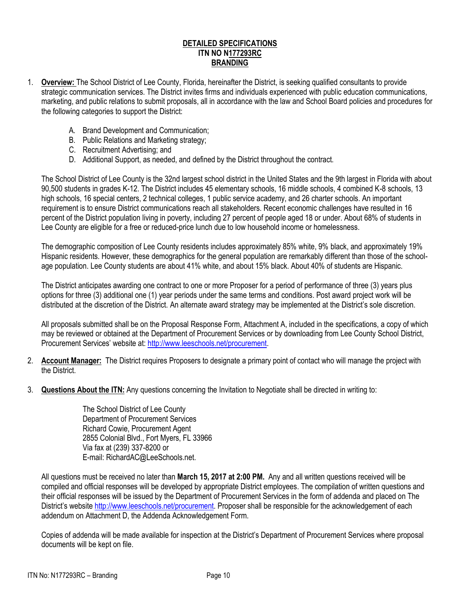#### **DETAILED SPECIFICATIONS ITN NO N177293RC BRANDING**

- 1. **Overview:** The School District of Lee County, Florida, hereinafter the District, is seeking qualified consultants to provide strategic communication services. The District invites firms and individuals experienced with public education communications, marketing, and public relations to submit proposals, all in accordance with the law and School Board policies and procedures for the following categories to support the District:
	- A. Brand Development and Communication;
	- B. Public Relations and Marketing strategy;
	- C. Recruitment Advertising; and
	- D. Additional Support, as needed, and defined by the District throughout the contract.

The School District of Lee County is the 32nd largest school district in the United States and the 9th largest in Florida with about 90,500 students in grades K-12. The District includes 45 elementary schools, 16 middle schools, 4 combined K-8 schools, 13 high schools, 16 special centers, 2 technical colleges, 1 public service academy, and 26 charter schools. An important requirement is to ensure District communications reach all stakeholders. Recent economic challenges have resulted in 16 percent of the District population living in poverty, including 27 percent of people aged 18 or under. About 68% of students in Lee County are eligible for a free or reduced-price lunch due to low household income or homelessness.

The demographic composition of Lee County residents includes approximately 85% white, 9% black, and approximately 19% Hispanic residents. However, these demographics for the general population are remarkably different than those of the schoolage population. Lee County students are about 41% white, and about 15% black. About 40% of students are Hispanic.

The District anticipates awarding one contract to one or more Proposer for a period of performance of three (3) years plus options for three (3) additional one (1) year periods under the same terms and conditions. Post award project work will be distributed at the discretion of the District. An alternate award strategy may be implemented at the District's sole discretion.

All proposals submitted shall be on the Proposal Response Form, Attachment A, included in the specifications, a copy of which may be reviewed or obtained at the Department of Procurement Services or by downloading from Lee County School District, Procurement Services' website at: [http://www.leeschools.net/procurement.](https://www.leeschools.net/procurement)

- 2. **Account Manager:** The District requires Proposers to designate a primary point of contact who will manage the project with the District.
- 3. **Questions About the ITN:** Any questions concerning the Invitation to Negotiate shall be directed in writing to:

The School District of Lee County Department of Procurement Services Richard Cowie, Procurement Agent 2855 Colonial Blvd., Fort Myers, FL 33966 Via fax at (239) 337-8200 or E-mail: RichardAC@LeeSchools.net.

All questions must be received no later than **March 15, 2017 at 2:00 PM.** Any and all written questions received will be compiled and official responses will be developed by appropriate District employees. The compilation of written questions and their official responses will be issued by the Department of Procurement Services in the form of addenda and placed on The District's website [http://www.leeschools.net/procurement.](http://www.leeschools.net/procurement) Proposer shall be responsible for the acknowledgement of each addendum on Attachment D, the Addenda Acknowledgement Form.

Copies of addenda will be made available for inspection at the District's Department of Procurement Services where proposal documents will be kept on file.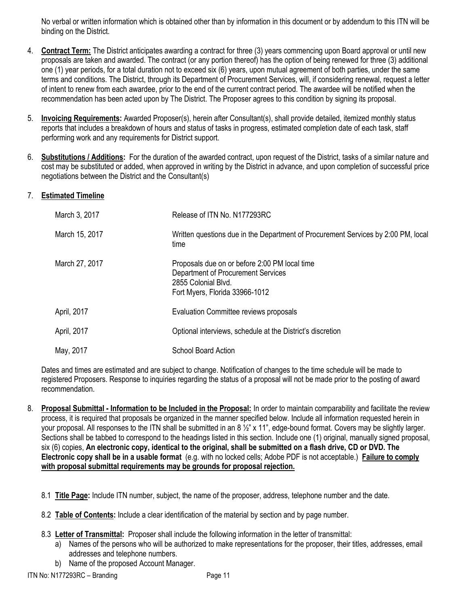No verbal or written information which is obtained other than by information in this document or by addendum to this ITN will be binding on the District.

- 4. **Contract Term:** The District anticipates awarding a contract for three (3) years commencing upon Board approval or until new proposals are taken and awarded. The contract (or any portion thereof) has the option of being renewed for three (3) additional one (1) year periods, for a total duration not to exceed six (6) years, upon mutual agreement of both parties, under the same terms and conditions. The District, through its Department of Procurement Services, will, if considering renewal, request a letter of intent to renew from each awardee, prior to the end of the current contract period. The awardee will be notified when the recommendation has been acted upon by The District. The Proposer agrees to this condition by signing its proposal.
- 5. **Invoicing Requirements:** Awarded Proposer(s), herein after Consultant(s), shall provide detailed, itemized monthly status reports that includes a breakdown of hours and status of tasks in progress, estimated completion date of each task, staff performing work and any requirements for District support.
- 6. **Substitutions / Additions:** For the duration of the awarded contract, upon request of the District, tasks of a similar nature and cost may be substituted or added, when approved in writing by the District in advance, and upon completion of successful price negotiations between the District and the Consultant(s)

#### 7. **Estimated Timeline**

| March 3, 2017  | Release of ITN No. N177293RC                                                                                                                 |
|----------------|----------------------------------------------------------------------------------------------------------------------------------------------|
| March 15, 2017 | Written questions due in the Department of Procurement Services by 2:00 PM, local<br>time                                                    |
| March 27, 2017 | Proposals due on or before 2:00 PM local time<br>Department of Procurement Services<br>2855 Colonial Blvd.<br>Fort Myers, Florida 33966-1012 |
| April, 2017    | Evaluation Committee reviews proposals                                                                                                       |
| April, 2017    | Optional interviews, schedule at the District's discretion                                                                                   |
| May, 2017      | <b>School Board Action</b>                                                                                                                   |

Dates and times are estimated and are subject to change. Notification of changes to the time schedule will be made to registered Proposers. Response to inquiries regarding the status of a proposal will not be made prior to the posting of award recommendation.

- 8. **Proposal Submittal - Information to be Included in the Proposal:** In order to maintain comparability and facilitate the review process, it is required that proposals be organized in the manner specified below. Include all information requested herein in your proposal. All responses to the ITN shall be submitted in an  $8\frac{1}{2}$ " x 11", edge-bound format. Covers may be slightly larger. Sections shall be tabbed to correspond to the headings listed in this section. Include one (1) original, manually signed proposal, six (6) copies, **An electronic copy, identical to the original, shall be submitted on a flash drive, CD or DVD. The Electronic copy shall be in a usable format** (e.g. with no locked cells; Adobe PDF is not acceptable.) **Failure to comply with proposal submittal requirements may be grounds for proposal rejection.**
	- 8.1 **Title Page:** Include ITN number, subject, the name of the proposer, address, telephone number and the date.
	- 8.2 **Table of Contents:** Include a clear identification of the material by section and by page number.
	- 8.3 **Letter of Transmittal:** Proposer shall include the following information in the letter of transmittal:
		- a) Names of the persons who will be authorized to make representations for the proposer, their titles, addresses, email addresses and telephone numbers.
		- b) Name of the proposed Account Manager.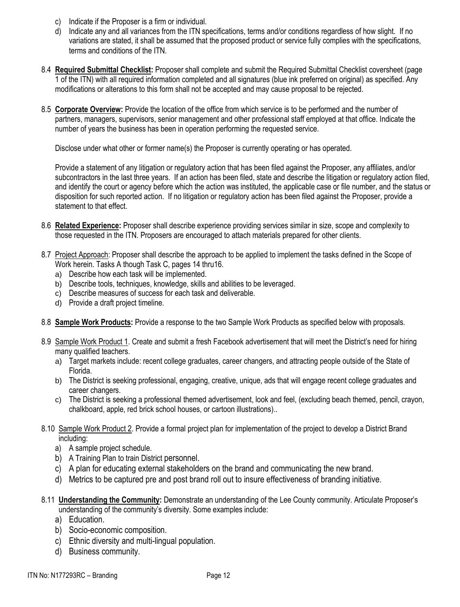- c) Indicate if the Proposer is a firm or individual.
- d) Indicate any and all variances from the ITN specifications, terms and/or conditions regardless of how slight. If no variations are stated, it shall be assumed that the proposed product or service fully complies with the specifications, terms and conditions of the ITN.
- 8.4 **Required Submittal Checklist:** Proposer shall complete and submit the Required Submittal Checklist coversheet (page 1 of the ITN) with all required information completed and all signatures (blue ink preferred on original) as specified. Any modifications or alterations to this form shall not be accepted and may cause proposal to be rejected.
- 8.5 **Corporate Overview:** Provide the location of the office from which service is to be performed and the number of partners, managers, supervisors, senior management and other professional staff employed at that office. Indicate the number of years the business has been in operation performing the requested service.

Disclose under what other or former name(s) the Proposer is currently operating or has operated.

Provide a statement of any litigation or regulatory action that has been filed against the Proposer, any affiliates, and/or subcontractors in the last three years. If an action has been filed, state and describe the litigation or regulatory action filed, and identify the court or agency before which the action was instituted, the applicable case or file number, and the status or disposition for such reported action. If no litigation or regulatory action has been filed against the Proposer, provide a statement to that effect.

- 8.6 **Related Experience:** Proposer shall describe experience providing services similar in size, scope and complexity to those requested in the ITN. Proposers are encouraged to attach materials prepared for other clients.
- 8.7 Project Approach: Proposer shall describe the approach to be applied to implement the tasks defined in the Scope of Work herein. Tasks A though Task C, pages 14 thru16.
	- a) Describe how each task will be implemented.
	- b) Describe tools, techniques, knowledge, skills and abilities to be leveraged.
	- c) Describe measures of success for each task and deliverable.
	- d) Provide a draft project timeline.
- 8.8 **Sample Work Products:** Provide a response to the two Sample Work Products as specified below with proposals.
- 8.9 Sample Work Product 1. Create and submit a fresh Facebook advertisement that will meet the District's need for hiring many qualified teachers.
	- a) Target markets include: recent college graduates, career changers, and attracting people outside of the State of Florida.
	- b) The District is seeking professional, engaging, creative, unique, ads that will engage recent college graduates and career changers.
	- c) The District is seeking a professional themed advertisement, look and feel, (excluding beach themed, pencil, crayon, chalkboard, apple, red brick school houses, or cartoon illustrations)..
- 8.10 Sample Work Product 2. Provide a formal project plan for implementation of the project to develop a District Brand including:
	- a) A sample project schedule.
	- b) A Training Plan to train District personnel.
	- c) A plan for educating external stakeholders on the brand and communicating the new brand.
	- d) Metrics to be captured pre and post brand roll out to insure effectiveness of branding initiative.
- 8.11 **Understanding the Community:** Demonstrate an understanding of the Lee County community. Articulate Proposer's understanding of the community's diversity. Some examples include:
	- a) Education.
	- b) Socio-economic composition.
	- c) Ethnic diversity and multi-lingual population.
	- d) Business community.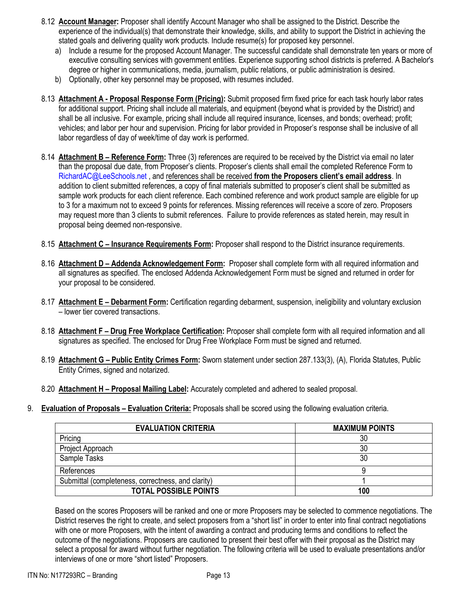- 8.12 **Account Manager:** Proposer shall identify Account Manager who shall be assigned to the District. Describe the experience of the individual(s) that demonstrate their knowledge, skills, and ability to support the District in achieving the stated goals and delivering quality work products. Include resume(s) for proposed key personnel.
	- a) Include a resume for the proposed Account Manager. The successful candidate shall demonstrate ten years or more of executive consulting services with government entities. Experience supporting school districts is preferred. A Bachelor's degree or higher in communications, media, journalism, public relations, or public administration is desired.
	- b) Optionally, other key personnel may be proposed, with resumes included.
- 8.13 **Attachment A - Proposal Response Form (Pricing):** Submit proposed firm fixed price for each task hourly labor rates for additional support. Pricing shall include all materials, and equipment (beyond what is provided by the District) and shall be all inclusive. For example, pricing shall include all required insurance, licenses, and bonds; overhead; profit; vehicles; and labor per hour and supervision. Pricing for labor provided in Proposer's response shall be inclusive of all labor regardless of day of week/time of day work is performed.
- 8.14 **Attachment B – Reference Form:** Three (3) references are required to be received by the District via email no later than the proposal due date, from Proposer's clients. Proposer's clients shall email the completed Reference Form to [RichardAC@LeeSchools.net](mailto:RichardAC@LeeSchools.net) , and references shall be received **from the Proposers client's email address**. In addition to client submitted references, a copy of final materials submitted to proposer's client shall be submitted as sample work products for each client reference. Each combined reference and work product sample are eligible for up to 3 for a maximum not to exceed 9 points for references. Missing references will receive a score of zero. Proposers may request more than 3 clients to submit references. Failure to provide references as stated herein, may result in proposal being deemed non-responsive.
- 8.15 **Attachment C – Insurance Requirements Form:** Proposer shall respond to the District insurance requirements.
- 8.16 **Attachment D – Addenda Acknowledgement Form:** Proposer shall complete form with all required information and all signatures as specified. The enclosed Addenda Acknowledgement Form must be signed and returned in order for your proposal to be considered.
- 8.17 **Attachment E – Debarment Form:** Certification regarding debarment, suspension, ineligibility and voluntary exclusion – lower tier covered transactions.
- 8.18 **Attachment F – Drug Free Workplace Certification:** Proposer shall complete form with all required information and all signatures as specified. The enclosed for Drug Free Workplace Form must be signed and returned.
- 8.19 **Attachment G – Public Entity Crimes Form:** Sworn statement under section 287.133(3), (A), Florida Statutes, Public Entity Crimes, signed and notarized.
- 8.20 **Attachment H – Proposal Mailing Label:** Accurately completed and adhered to sealed proposal.
- 9. **Evaluation of Proposals – Evaluation Criteria:** Proposals shall be scored using the following evaluation criteria.

| <b>EVALUATION CRITERIA</b>                         | <b>MAXIMUM POINTS</b> |
|----------------------------------------------------|-----------------------|
| Pricing                                            | 30                    |
| Project Approach                                   | 30                    |
| Sample Tasks                                       | 30                    |
| References                                         |                       |
| Submittal (completeness, correctness, and clarity) |                       |
| <b>TOTAL POSSIBLE POINTS</b>                       | 100                   |

Based on the scores Proposers will be ranked and one or more Proposers may be selected to commence negotiations. The District reserves the right to create, and select proposers from a "short list" in order to enter into final contract negotiations with one or more Proposers, with the intent of awarding a contract and producing terms and conditions to reflect the outcome of the negotiations. Proposers are cautioned to present their best offer with their proposal as the District may select a proposal for award without further negotiation. The following criteria will be used to evaluate presentations and/or interviews of one or more "short listed" Proposers.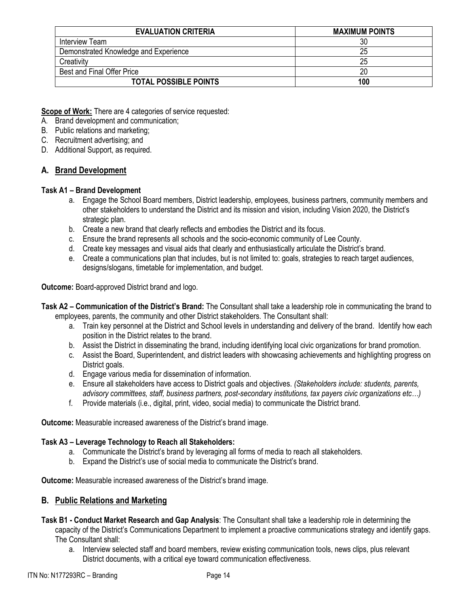| <b>EVALUATION CRITERIA</b>            | <b>MAXIMUM POINTS</b> |
|---------------------------------------|-----------------------|
| Interview Team                        | 30                    |
| Demonstrated Knowledge and Experience | 25                    |
| Creativity                            | 25                    |
| Best and Final Offer Price            | 20                    |
| <b>TOTAL POSSIBLE POINTS</b>          | 100                   |

**Scope of Work:** There are 4 categories of service requested:

- A. Brand development and communication;
- B. Public relations and marketing;
- C. Recruitment advertising; and
- D. Additional Support, as required.

#### **A. Brand Development**

#### **Task A1 – Brand Development**

- a. Engage the School Board members, District leadership, employees, business partners, community members and other stakeholders to understand the District and its mission and vision, including Vision 2020, the District's strategic plan.
- b. Create a new brand that clearly reflects and embodies the District and its focus.
- c. Ensure the brand represents all schools and the socio-economic community of Lee County.
- d. Create key messages and visual aids that clearly and enthusiastically articulate the District's brand.
- e. Create a communications plan that includes, but is not limited to: goals, strategies to reach target audiences, designs/slogans, timetable for implementation, and budget.

**Outcome:** Board-approved District brand and logo.

- **Task A2 – Communication of the District's Brand:** The Consultant shall take a leadership role in communicating the brand to employees, parents, the community and other District stakeholders. The Consultant shall:
	- a. Train key personnel at the District and School levels in understanding and delivery of the brand. Identify how each position in the District relates to the brand.
	- b. Assist the District in disseminating the brand, including identifying local civic organizations for brand promotion.
	- c. Assist the Board, Superintendent, and district leaders with showcasing achievements and highlighting progress on District goals.
	- d. Engage various media for dissemination of information.
	- e. Ensure all stakeholders have access to District goals and objectives. *(Stakeholders include: students, parents, advisory committees, staff, business partners, post-secondary institutions, tax payers civic organizations etc…)*
	- f. Provide materials (i.e., digital, print, video, social media) to communicate the District brand.

**Outcome:** Measurable increased awareness of the District's brand image.

#### **Task A3 – Leverage Technology to Reach all Stakeholders:**

- a. Communicate the District's brand by leveraging all forms of media to reach all stakeholders.
- b. Expand the District's use of social media to communicate the District's brand.

**Outcome:** Measurable increased awareness of the District's brand image.

#### **B. Public Relations and Marketing**

- **Task B1 - Conduct Market Research and Gap Analysis**: The Consultant shall take a leadership role in determining the capacity of the District's Communications Department to implement a proactive communications strategy and identify gaps. The Consultant shall:
	- a. Interview selected staff and board members, review existing communication tools, news clips, plus relevant District documents, with a critical eye toward communication effectiveness.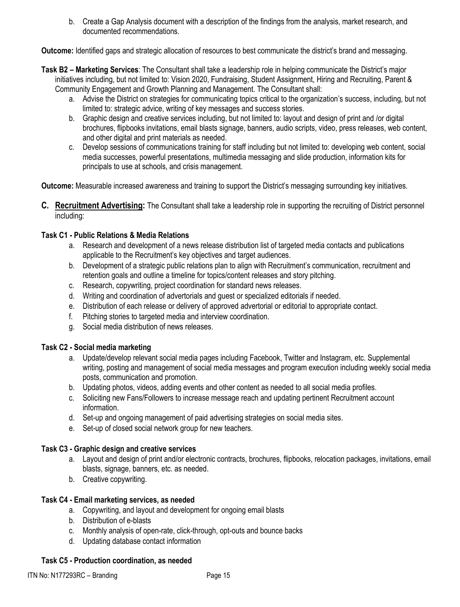b. Create a Gap Analysis document with a description of the findings from the analysis, market research, and documented recommendations.

**Outcome:** Identified gaps and strategic allocation of resources to best communicate the district's brand and messaging.

- **Task B2 – Marketing Services**: The Consultant shall take a leadership role in helping communicate the District's major initiatives including, but not limited to: Vision 2020, Fundraising, Student Assignment, Hiring and Recruiting, Parent & Community Engagement and Growth Planning and Management. The Consultant shall:
	- a. Advise the District on strategies for communicating topics critical to the organization's success, including, but not limited to: strategic advice, writing of key messages and success stories.
	- b. Graphic design and creative services including, but not limited to: layout and design of print and /or digital brochures, flipbooks invitations, email blasts signage, banners, audio scripts, video, press releases, web content, and other digital and print materials as needed.
	- c. Develop sessions of communications training for staff including but not limited to: developing web content, social media successes, powerful presentations, multimedia messaging and slide production, information kits for principals to use at schools, and crisis management.

**Outcome:** Measurable increased awareness and training to support the District's messaging surrounding key initiatives.

**C. Recruitment Advertising:** The Consultant shall take a leadership role in supporting the recruiting of District personnel including:

#### **Task C1 - Public Relations & Media Relations**

- a. Research and development of a news release distribution list of targeted media contacts and publications applicable to the Recruitment's key objectives and target audiences.
- b. Development of a strategic public relations plan to align with Recruitment's communication, recruitment and retention goals and outline a timeline for topics/content releases and story pitching.
- c. Research, copywriting, project coordination for standard news releases.
- d. Writing and coordination of advertorials and guest or specialized editorials if needed.
- e. Distribution of each release or delivery of approved advertorial or editorial to appropriate contact.
- f. Pitching stories to targeted media and interview coordination.
- g. Social media distribution of news releases.

#### **Task C2 - Social media marketing**

- a. Update/develop relevant social media pages including Facebook, Twitter and Instagram, etc. Supplemental writing, posting and management of social media messages and program execution including weekly social media posts, communication and promotion.
- b. Updating photos, videos, adding events and other content as needed to all social media profiles.
- c. Soliciting new Fans/Followers to increase message reach and updating pertinent Recruitment account information.
- d. Set-up and ongoing management of paid advertising strategies on social media sites.
- e. Set-up of closed social network group for new teachers.

#### **Task C3 - Graphic design and creative services**

- a. Layout and design of print and/or electronic contracts, brochures, flipbooks, relocation packages, invitations, email blasts, signage, banners, etc. as needed.
- b. Creative copywriting.

#### **Task C4 - Email marketing services, as needed**

- a. Copywriting, and layout and development for ongoing email blasts
- b. Distribution of e-blasts
- c. Monthly analysis of open-rate, click-through, opt-outs and bounce backs
- d. Updating database contact information

#### **Task C5 - Production coordination, as needed**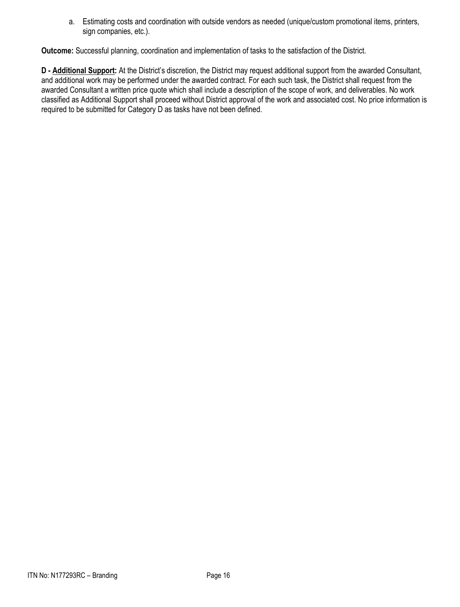a. Estimating costs and coordination with outside vendors as needed (unique/custom promotional items, printers, sign companies, etc.).

**Outcome:** Successful planning, coordination and implementation of tasks to the satisfaction of the District.

**D - Additional Support:** At the District's discretion, the District may request additional support from the awarded Consultant, and additional work may be performed under the awarded contract. For each such task, the District shall request from the awarded Consultant a written price quote which shall include a description of the scope of work, and deliverables. No work classified as Additional Support shall proceed without District approval of the work and associated cost. No price information is required to be submitted for Category D as tasks have not been defined.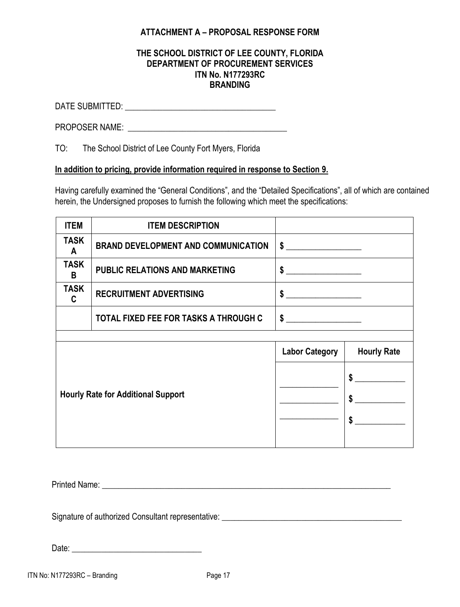## **ATTACHMENT A – PROPOSAL RESPONSE FORM**

#### **THE SCHOOL DISTRICT OF LEE COUNTY, FLORIDA DEPARTMENT OF PROCUREMENT SERVICES ITN No. N177293RC BRANDING**

DATE SUBMITTED: \_\_\_\_\_\_\_\_\_\_\_\_\_\_\_\_\_\_\_\_\_\_\_\_\_\_\_\_\_\_\_\_\_\_\_\_

PROPOSER NAME:  $\blacksquare$ 

TO: The School District of Lee County Fort Myers, Florida

#### **In addition to pricing, provide information required in response to Section 9.**

Having carefully examined the "General Conditions", and the "Detailed Specifications", all of which are contained herein, the Undersigned proposes to furnish the following which meet the specifications:

| <b>ITEM</b>                               | <b>ITEM DESCRIPTION</b>                    |                       |                                                              |
|-------------------------------------------|--------------------------------------------|-----------------------|--------------------------------------------------------------|
| <b>TASK</b><br>A                          | <b>BRAND DEVELOPMENT AND COMMUNICATION</b> | $\frac{1}{2}$         |                                                              |
| <b>TASK</b><br>B                          | <b>PUBLIC RELATIONS AND MARKETING</b>      | $\sim$                |                                                              |
| <b>TASK</b><br>C                          | <b>RECRUITMENT ADVERTISING</b>             | $\sim$                |                                                              |
|                                           | TOTAL FIXED FEE FOR TASKS A THROUGH C      | $\frac{1}{2}$         |                                                              |
|                                           |                                            |                       |                                                              |
|                                           |                                            | <b>Labor Category</b> | <b>Hourly Rate</b>                                           |
| <b>Hourly Rate for Additional Support</b> |                                            |                       | \$<br>$\boldsymbol{\mathsf{s}}$<br>$\boldsymbol{\mathsf{s}}$ |

Printed Name:  $\blacksquare$ 

Signature of authorized Consultant representative: \_\_\_\_\_\_\_\_\_\_\_\_\_\_\_\_\_\_\_\_\_\_\_\_\_\_\_\_\_\_\_\_\_\_\_\_\_\_\_\_\_\_\_

Date: \_\_\_\_\_\_\_\_\_\_\_\_\_\_\_\_\_\_\_\_\_\_\_\_\_\_\_\_\_\_\_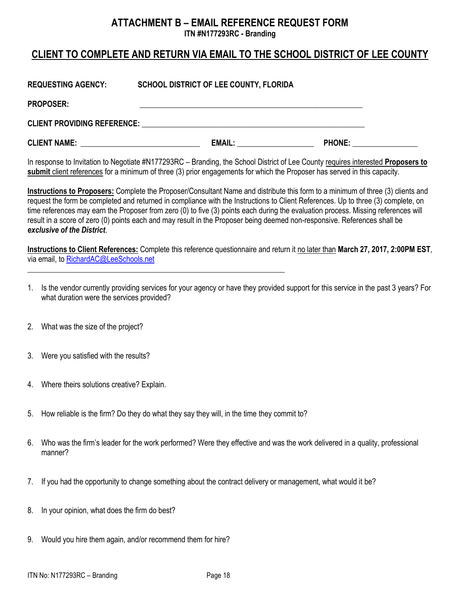## **ATTACHMENT B – EMAIL REFERENCE REQUEST FORM ITN #N177293RC - Branding**

# **CLIENT TO COMPLETE AND RETURN VIA EMAIL TO THE SCHOOL DISTRICT OF LEE COUNTY**

| <b>REQUESTING AGENCY:</b>          | <b>SCHOOL DISTRICT OF LEE COUNTY, FLORIDA</b> |               |  |
|------------------------------------|-----------------------------------------------|---------------|--|
| <b>PROPOSER:</b>                   |                                               |               |  |
| <b>CLIENT PROVIDING REFERENCE:</b> |                                               |               |  |
| <b>CLIENT NAME:</b>                | <b>EMAIL:</b>                                 | <b>PHONE:</b> |  |

In response to Invitation to Negotiate #N177293RC – Branding, the School District of Lee County requires interested **Proposers to submit** client references for a minimum of three (3) prior engagements for which the Proposer has served in this capacity.

**Instructions to Proposers:** Complete the Proposer/Consultant Name and distribute this form to a minimum of three (3) clients and request the form be completed and returned in compliance with the Instructions to Client References. Up to three (3) complete, on time references may earn the Proposer from zero (0) to five (3) points each during the evaluation process. Missing references will result in a score of zero (0) points each and may result in the Proposer being deemed non-responsive. References shall be *exclusive of the District*.

**Instructions to Client References:** Complete this reference questionnaire and return it no later than **March 27, 2017, 2:00PM EST**, via email, t[o RichardAC@LeeSchools.net](mailto:RichardAC@LeeSchools.net)

- 1. Is the vendor currently providing services for your agency or have they provided support for this service in the past 3 years? For what duration were the services provided?
- 2. What was the size of the project?
- 3. Were you satisfied with the results?
- 4. Where theirs solutions creative? Explain.
- 5. How reliable is the firm? Do they do what they say they will, in the time they commit to?

**\_\_\_\_\_\_\_\_\_\_\_\_\_\_\_\_\_\_\_\_\_\_\_\_\_\_\_\_\_\_\_\_\_\_\_\_\_\_\_\_\_\_\_\_\_\_\_\_\_\_\_\_\_\_\_\_\_\_\_\_\_\_\_\_\_\_\_**

- 6. Who was the firm's leader for the work performed? Were they effective and was the work delivered in a quality, professional manner?
- 7. If you had the opportunity to change something about the contract delivery or management, what would it be?
- 8. In your opinion, what does the firm do best?
- 9. Would you hire them again, and/or recommend them for hire?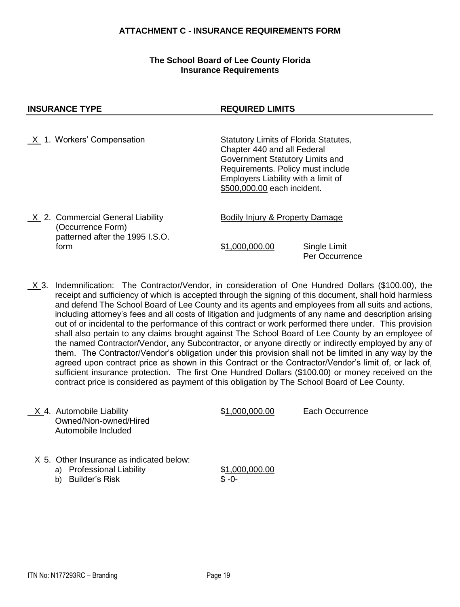#### **ATTACHMENT C - INSURANCE REQUIREMENTS FORM**

#### **The School Board of Lee County Florida Insurance Requirements**

#### **INSURANCE TYPE REQUIRED LIMITS**

- X 1. Workers' Compensation Statutory Limits of Florida Statutes, Chapter 440 and all Federal Government Statutory Limits and Requirements. Policy must include Employers Liability with a limit of \$500,000.00 each incident. X 2. Commercial General Liability Bodily Injury & Property Damage (Occurrence Form) patterned after the 1995 I.S.O. form \$1,000,000.00 Single Limit Per Occurrence
- X 3. Indemnification: The Contractor/Vendor, in consideration of One Hundred Dollars (\$100.00), the receipt and sufficiency of which is accepted through the signing of this document, shall hold harmless and defend The School Board of Lee County and its agents and employees from all suits and actions, including attorney's fees and all costs of litigation and judgments of any name and description arising out of or incidental to the performance of this contract or work performed there under. This provision shall also pertain to any claims brought against The School Board of Lee County by an employee of the named Contractor/Vendor, any Subcontractor, or anyone directly or indirectly employed by any of them. The Contractor/Vendor's obligation under this provision shall not be limited in any way by the agreed upon contract price as shown in this Contract or the Contractor/Vendor's limit of, or lack of, sufficient insurance protection. The first One Hundred Dollars (\$100.00) or money received on the contract price is considered as payment of this obligation by The School Board of Lee County.

| X 4. Automobile Liability<br>Owned/Non-owned/Hired<br>Automobile Included                                      | \$1,000,000.00            | Each Occurrence |
|----------------------------------------------------------------------------------------------------------------|---------------------------|-----------------|
| X 5. Other Insurance as indicated below:<br><b>Professional Liability</b><br>a)<br><b>Builder's Risk</b><br>b) | \$1,000,000.00<br>$$ -0-$ |                 |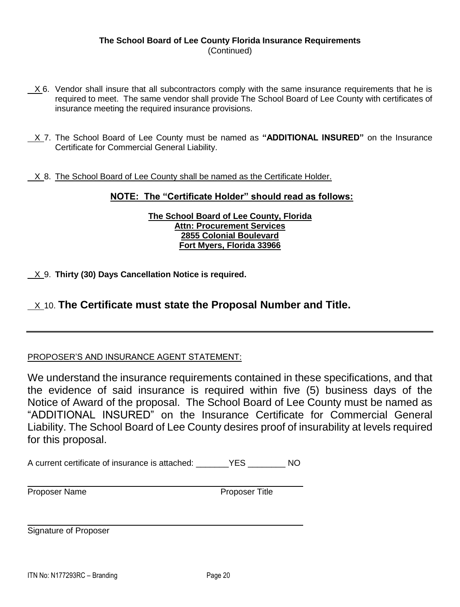#### **The School Board of Lee County Florida Insurance Requirements** (Continued)

- X 6. Vendor shall insure that all subcontractors comply with the same insurance requirements that he is required to meet. The same vendor shall provide The School Board of Lee County with certificates of insurance meeting the required insurance provisions.
- X 7. The School Board of Lee County must be named as **"ADDITIONAL INSURED"** on the Insurance Certificate for Commercial General Liability.
- X 8. The School Board of Lee County shall be named as the Certificate Holder.

#### **NOTE: The "Certificate Holder" should read as follows:**

#### **The School Board of Lee County, Florida Attn: Procurement Services 2855 Colonial Boulevard Fort Myers, Florida 33966**

X 9. **Thirty (30) Days Cancellation Notice is required.**

## X 10. **The Certificate must state the Proposal Number and Title.**

#### PROPOSER'S AND INSURANCE AGENT STATEMENT:

We understand the insurance requirements contained in these specifications, and that the evidence of said insurance is required within five (5) business days of the Notice of Award of the proposal. The School Board of Lee County must be named as "ADDITIONAL INSURED" on the Insurance Certificate for Commercial General Liability. The School Board of Lee County desires proof of insurability at levels required for this proposal.

A current certificate of insurance is attached: \_\_\_\_\_\_\_YES \_\_\_\_\_\_\_\_\_ NO

Proposer Name **Proposer Title** 

Signature of Proposer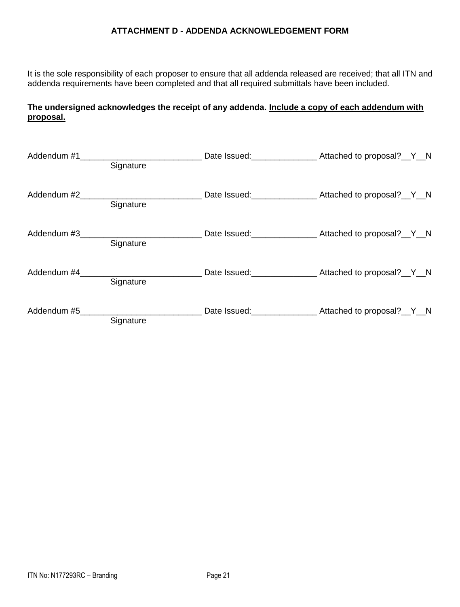#### **ATTACHMENT D - ADDENDA ACKNOWLEDGEMENT FORM**

It is the sole responsibility of each proposer to ensure that all addenda released are received; that all ITN and addenda requirements have been completed and that all required submittals have been included.

#### **The undersigned acknowledges the receipt of any addenda. Include a copy of each addendum with proposal.**

| Addendum #1 | Signature                | Date Issued: _______________________ Attached to proposal?__Y__N |
|-------------|--------------------------|------------------------------------------------------------------|
|             | Signature                | Date Issued: _______________________ Attached to proposal?__Y__N |
|             | Addendum #3<br>Signature |                                                                  |
|             | Addendum #4<br>Signature |                                                                  |
|             | Signature                |                                                                  |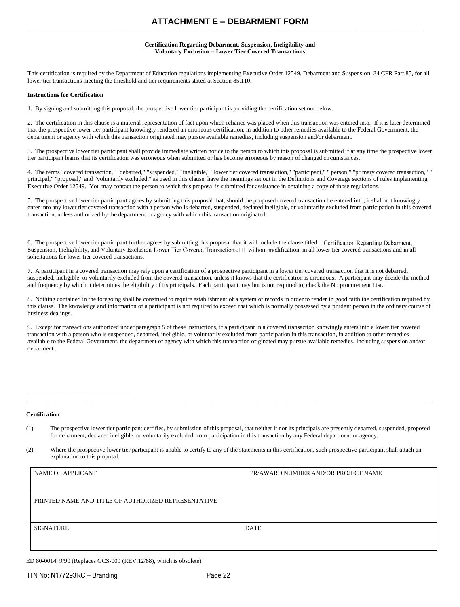#### **ATTACHMENT E – DEBARMENT FORM** \_\_\_\_\_\_\_\_\_\_\_\_\_\_\_\_\_\_\_\_\_\_\_\_\_\_\_\_\_\_\_\_\_\_\_\_\_\_\_\_\_\_\_\_\_\_\_\_\_\_\_\_\_\_\_\_\_\_\_\_\_\_\_\_\_\_\_\_\_\_\_\_\_\_\_\_\_\_\_\_\_\_\_\_\_\_\_\_\_\_\_\_\_\_\_\_\_\_\_\_\_\_\_\_\_\_\_ \_\_\_\_\_\_\_\_\_\_\_\_\_\_\_\_\_\_\_\_\_

#### **Certification Regarding Debarment, Suspension, Ineligibility and Voluntary Exclusion -- Lower Tier Covered Transactions**

This certification is required by the Department of Education regulations implementing Executive Order 12549, Debarment and Suspension, 34 CFR Part 85, for all lower tier transactions meeting the threshold and tier requirements stated at Section 85.110.

#### **Instructions for Certification**

1. By signing and submitting this proposal, the prospective lower tier participant is providing the certification set out below.

2. The certification in this clause is a material representation of fact upon which reliance was placed when this transaction was entered into. If it is later determined that the prospective lower tier participant knowingly rendered an erroneous certification, in addition to other remedies available to the Federal Government, the department or agency with which this transaction originated may pursue available remedies, including suspension and/or debarment.

3. The prospective lower tier participant shall provide immediate written notice to the person to which this proposal is submitted if at any time the prospective lower tier participant learns that its certification was erroneous when submitted or has become erroneous by reason of changed circumstances.

4. The terms "covered transaction," "debarred," "suspended," "ineligible," "lower tier covered transaction," "participant," " person," "primary covered transaction," " principal," "proposal," and "voluntarily excluded," as used in this clause, have the meanings set out in the Definitions and Coverage sections of rules implementing Executive Order 12549. You may contact the person to which this proposal is submitted for assistance in obtaining a copy of those regulations.

5. The prospective lower tier participant agrees by submitting this proposal that, should the proposed covered transaction be entered into, it shall not knowingly enter into any lower tier covered transaction with a person who is debarred, suspended, declared ineligible, or voluntarily excluded from participation in this covered transaction, unless authorized by the department or agency with which this transaction originated.

6. The prospective lower tier participant further agrees by submitting this proposal that it will include the clause titled  $\Box$ Certification Regarding Debarment, Suspension, Ineligibility, and Voluntary Exclusion-Lower Tier Covered Transactions,  $\Box$  Dwithout modification, in all lower tier covered transactions and in all solicitations for lower tier covered transactions.

7. A participant in a covered transaction may rely upon a certification of a prospective participant in a lower tier covered transaction that it is not debarred, suspended, ineligible, or voluntarily excluded from the covered transaction, unless it knows that the certification is erroneous. A participant may decide the method and frequency by which it determines the eligibility of its principals. Each participant may but is not required to, check the No procurement List.

8. Nothing contained in the foregoing shall be construed to require establishment of a system of records in order to render in good faith the certification required by this clause. The knowledge and information of a participant is not required to exceed that which is normally possessed by a prudent person in the ordinary course of business dealings.

9. Except for transactions authorized under paragraph 5 of these instructions, if a participant in a covered transaction knowingly enters into a lower tier covered transaction with a person who is suspended, debarred, ineligible, or voluntarily excluded from participation in this transaction, in addition to other remedies available to the Federal Government, the department or agency with which this transaction originated may pursue available remedies, including suspension and/or debarment..

#### **Certification**

 $\mathcal{L}_\text{max}$ 

(1) The prospective lower tier participant certifies, by submission of this proposal, that neither it nor its principals are presently debarred, suspended, proposed for debarment, declared ineligible, or voluntarily excluded from participation in this transaction by any Federal department or agency.

\_\_\_\_\_\_\_\_\_\_\_\_\_\_\_\_\_\_\_\_\_\_\_\_\_\_\_\_\_\_\_\_\_\_\_\_\_\_\_\_\_\_\_\_\_\_\_\_\_\_\_\_\_\_\_\_\_\_\_\_\_\_\_\_\_\_\_\_\_\_\_\_\_\_\_\_\_\_\_\_\_\_\_\_\_\_\_\_\_\_\_\_\_\_\_\_\_\_\_\_\_\_\_\_\_\_\_\_\_\_\_\_\_\_\_\_\_\_\_\_\_\_\_\_\_\_\_\_\_\_\_\_

(2) Where the prospective lower tier participant is unable to certify to any of the statements in this certification, such prospective participant shall attach an explanation to this proposal.

| <b>NAME OF APPLICANT</b>                            | PR/AWARD NUMBER AND/OR PROJECT NAME |
|-----------------------------------------------------|-------------------------------------|
| PRINTED NAME AND TITLE OF AUTHORIZED REPRESENTATIVE |                                     |
| <b>SIGNATURE</b>                                    | <b>DATE</b>                         |

ED 80-0014, 9/90 (Replaces GCS-009 (REV.12/88), which is obsolete)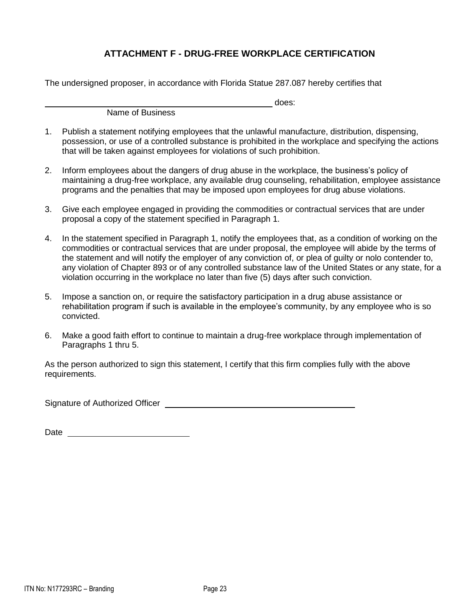## **ATTACHMENT F - DRUG-FREE WORKPLACE CERTIFICATION**

The undersigned proposer, in accordance with Florida Statue 287.087 hereby certifies that

Name of Business

does:

- 1. Publish a statement notifying employees that the unlawful manufacture, distribution, dispensing, possession, or use of a controlled substance is prohibited in the workplace and specifying the actions that will be taken against employees for violations of such prohibition.
- 2. Inform employees about the dangers of drug abuse in the workplace, the business's policy of maintaining a drug-free workplace, any available drug counseling, rehabilitation, employee assistance programs and the penalties that may be imposed upon employees for drug abuse violations.
- 3. Give each employee engaged in providing the commodities or contractual services that are under proposal a copy of the statement specified in Paragraph 1.
- 4. In the statement specified in Paragraph 1, notify the employees that, as a condition of working on the commodities or contractual services that are under proposal, the employee will abide by the terms of the statement and will notify the employer of any conviction of, or plea of guilty or nolo contender to, any violation of Chapter 893 or of any controlled substance law of the United States or any state, for a violation occurring in the workplace no later than five (5) days after such conviction.
- 5. Impose a sanction on, or require the satisfactory participation in a drug abuse assistance or rehabilitation program if such is available in the employee's community, by any employee who is so convicted.
- 6. Make a good faith effort to continue to maintain a drug-free workplace through implementation of Paragraphs 1 thru 5.

As the person authorized to sign this statement, I certify that this firm complies fully with the above requirements.

Signature of Authorized Officer

Date and the contract of the contract of the contract of the contract of the contract of the contract of the contract of the contract of the contract of the contract of the contract of the contract of the contract of the c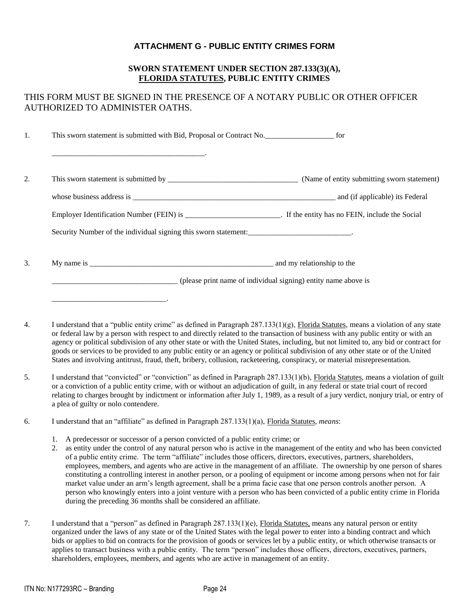#### **ATTACHMENT G - PUBLIC ENTITY CRIMES FORM**

#### **SWORN STATEMENT UNDER SECTION 287.133(3)(A), FLORIDA STATUTES, PUBLIC ENTITY CRIMES**

## THIS FORM MUST BE SIGNED IN THE PRESENCE OF A NOTARY PUBLIC OR OTHER OFFICER AUTHORIZED TO ADMINISTER OATHS.

1. This sworn statement is submitted with Bid, Proposal or Contract No.\_\_\_\_\_\_\_\_\_\_\_\_\_\_\_\_\_\_ for \_\_\_\_\_\_\_\_\_\_\_\_\_\_\_\_\_\_\_\_\_\_\_\_\_\_\_\_\_\_\_\_\_\_\_\_\_\_\_\_. 2. This sworn statement is submitted by \_\_\_\_\_\_\_\_\_\_\_\_\_\_\_\_\_\_\_\_\_\_\_\_\_\_\_\_\_\_\_\_\_\_ (Name of entity submitting sworn statement) whose business address is \_\_\_\_\_\_\_\_\_\_\_\_\_\_\_\_\_\_\_\_\_\_\_\_\_\_\_\_\_\_\_\_\_\_\_\_\_\_\_\_\_\_\_\_\_\_\_\_\_\_\_\_\_ and (if applicable) its Federal Employer Identification Number (FEIN) is \_\_\_\_\_\_\_\_\_\_\_\_\_\_\_\_\_\_\_\_\_\_\_\_\_. If the entity has no FEIN, include the Social Security Number of the individual signing this sworn statement: 3. My name is and my relationship to the \_\_\_\_\_\_\_\_\_\_\_\_\_\_\_\_\_\_\_\_\_\_\_\_\_\_\_\_\_\_\_\_\_ (please print name of individual signing) entity name above is

4. I understand that a "public entity crime" as defined in Paragraph 287.133(1)(g), Florida Statutes, means a violation of any state or federal law by a person with respect to and directly related to the transaction of business with any public entity or with an agency or political subdivision of any other state or with the United States, including, but not limited to, any bid or contract for goods or services to be provided to any public entity or an agency or political subdivision of any other state or of the United States and involving antitrust, fraud, theft, bribery, collusion, racketeering, conspiracy, or material misrepresentation.

- 5. I understand that "convicted" or "conviction" as defined in Paragraph 287.133(1)(b), Florida Statutes, means a violation of guilt or a conviction of a public entity crime, with or without an adjudication of guilt, in any federal or state trial court of record relating to charges brought by indictment or information after July 1, 1989, as a result of a jury verdict, nonjury trial, or entry of a plea of guilty or nolo contendere.
- 6. I understand that an "affiliate" as defined in Paragraph 287.133(1)(a), Florida Statutes, *means*:
	- 1. A predecessor or successor of a person convicted of a public entity crime; or

\_\_\_\_\_\_\_\_\_\_\_\_\_\_\_\_\_\_\_\_\_\_\_\_\_\_\_\_\_\_.

- 2. as entity under the control of any natural person who is active in the management of the entity and who has been convicted of a public entity crime. The term "affiliate" includes those officers, directors, executives, partners, shareholders, employees, members, and agents who are active in the management of an affiliate. The ownership by one person of shares constituting a controlling interest in another person, or a pooling of equipment or income among persons when not for fair market value under an arm's length agreement, shall be a prima facie case that one person controls another person. A person who knowingly enters into a joint venture with a person who has been convicted of a public entity crime in Florida during the preceding 36 months shall be considered an affiliate.
- 7. I understand that a "person" as defined in Paragraph 287.133(1)(e), Florida Statutes, means any natural person or entity organized under the laws of any state or of the United States with the legal power to enter into a binding contract and which bids or applies to bid on contracts for the provision of goods or services let by a public entity, or which otherwise transacts or applies to transact business with a public entity. The term "person" includes those officers, directors, executives, partners, shareholders, employees, members, and agents who are active in management of an entity.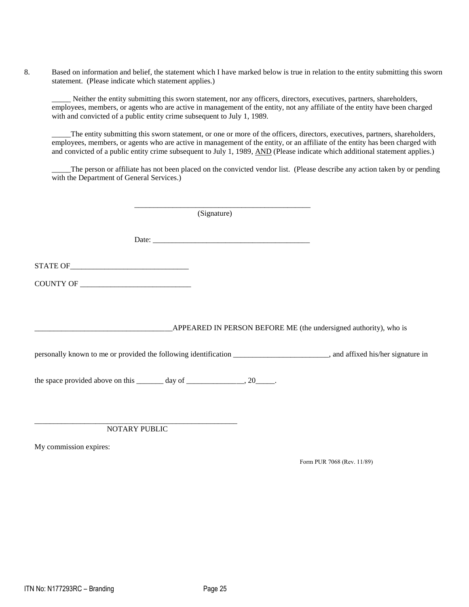8. Based on information and belief, the statement which I have marked below is true in relation to the entity submitting this sworn statement. (Please indicate which statement applies.)

Neither the entity submitting this sworn statement, nor any officers, directors, executives, partners, shareholders, employees, members, or agents who are active in management of the entity, not any affiliate of the entity have been charged with and convicted of a public entity crime subsequent to July 1, 1989.

The entity submitting this sworn statement, or one or more of the officers, directors, executives, partners, shareholders, employees, members, or agents who are active in management of the entity, or an affiliate of the entity has been charged with and convicted of a public entity crime subsequent to July 1, 1989, AND (Please indicate which additional statement applies.)

The person or affiliate has not been placed on the convicted vendor list. (Please describe any action taken by or pending with the Department of General Services.)

(Signature)

Date: \_\_\_\_\_\_\_\_\_\_\_\_\_\_\_\_\_\_\_\_\_\_\_\_\_\_\_\_\_\_\_\_\_\_\_\_\_\_\_\_\_

\_\_\_\_\_\_\_\_\_\_\_\_\_\_\_\_\_\_\_\_\_\_\_\_\_\_\_\_\_\_\_\_\_\_\_\_\_\_\_\_\_\_\_\_\_\_

STATE OF

COUNTY OF \_\_\_\_\_\_\_\_\_\_\_\_\_\_\_\_\_\_\_\_\_\_\_\_\_\_\_\_\_

\_APPEARED IN PERSON BEFORE ME (the undersigned authority), who is

personally known to me or provided the following identification \_\_\_\_\_\_\_\_\_\_\_\_\_\_\_\_\_\_\_\_\_\_\_\_\_, and affixed his/her signature in

the space provided above on this  $\_\_\_\_$  day of  $\_\_\_\_\_\_\_$ , 20 $\_\_\_\_\_$ .

\_\_\_\_\_\_\_\_\_\_\_\_\_\_\_\_\_\_\_\_\_\_\_\_\_\_\_\_\_\_\_\_\_\_\_\_\_\_\_\_\_\_\_\_\_\_\_\_\_\_\_\_\_ NOTARY PUBLIC

My commission expires:

Form PUR 7068 (Rev. 11/89)